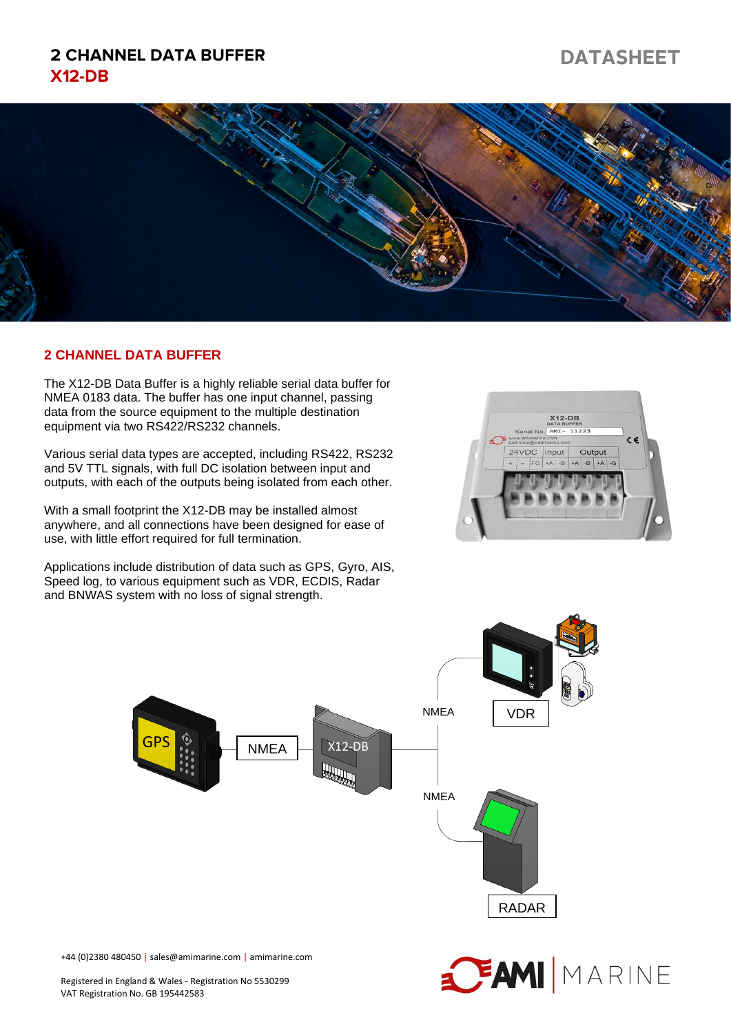## **2 CHANNEL DATA BUFFER**  $X12-DB$

# **DATASHEET**



#### **2 CHANNEL DATA BUFFER**

The X12-DB Data Buffer is a highly reliable serial data buffer for NMEA 0183 data. The buffer has one input channel, passing data from the source equipment to the multiple destination equipment via two RS422/RS232 channels.

Various serial data types are accepted, including RS422, RS232 and 5V TTL signals, with full DC isolation between input and outputs, with each of the outputs being isolated from each other.

With a small footprint the X12-DB may be installed almost anywhere, and all connections have been designed for ease of use, with little effort required for full termination.

Applications include distribution of data such as GPS, Gyro, AIS, Speed log, to various equipment such as VDR, ECDIS, Radar and BNWAS system with no loss of signal strength.





+44 (0)2380 480450 | sales@amimarine.com | amimarine.com